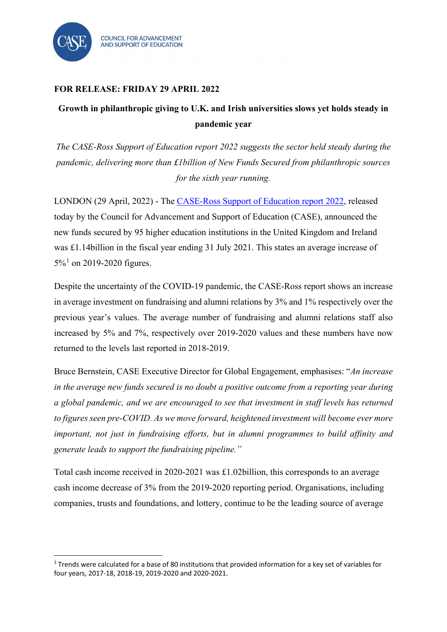

## **FOR RELEASE: FRIDAY 29 APRIL 2022**

## **Growth in philanthropic giving to U.K. and Irish universities slows yet holds steady in pandemic year**

*The CASE-Ross Support of Education report 2022 suggests the sector held steady during the pandemic, delivering more than £1billion of New Funds Secured from philanthropic sources for the sixth year running.*

LONDON (29 April, 2022) - The [CASE-Ross Support of Education report](https://www.case.org/resources/case-ross-support-education-survey-united-kingdom-and-ireland) 2022, released today by the Council for Advancement and Support of Education (CASE), announced the new funds secured by 95 higher education institutions in the United Kingdom and Ireland was £1.14billion in the fiscal year ending 31 July 2021. This states an average increase of  $5\%$ <sup>[1](#page-0-0)</sup> on 2019-2020 figures.

Despite the uncertainty of the COVID-19 pandemic, the CASE-Ross report shows an increase in average investment on fundraising and alumni relations by 3% and 1% respectively over the previous year's values. The average number of fundraising and alumni relations staff also increased by 5% and 7%, respectively over 2019-2020 values and these numbers have now returned to the levels last reported in 2018-2019.

Bruce Bernstein, CASE Executive Director for Global Engagement, emphasises: "*An increase in the average new funds secured is no doubt a positive outcome from a reporting year during a global pandemic, and we are encouraged to see that investment in staff levels has returned to figures seen pre-COVID. As we move forward, heightened investment will become ever more important, not just in fundraising efforts, but in alumni programmes to build affinity and generate leads to support the fundraising pipeline."*

Total cash income received in 2020-2021 was £1.02billion, this corresponds to an average cash income decrease of 3% from the 2019-2020 reporting period. Organisations, including companies, trusts and foundations, and lottery, continue to be the leading source of average

<span id="page-0-0"></span><sup>&</sup>lt;sup>1</sup> Trends were calculated for a base of 80 institutions that provided information for a key set of variables for four years, 2017-18, 2018-19, 2019-2020 and 2020-2021.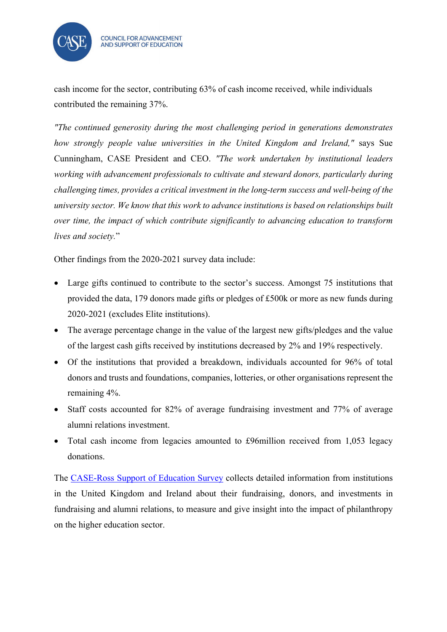

cash income for the sector, contributing 63% of cash income received, while individuals contributed the remaining 37%.

*"The continued generosity during the most challenging period in generations demonstrates how strongly people value universities in the United Kingdom and Ireland,"* says Sue Cunningham, CASE President and CEO. *"The work undertaken by institutional leaders working with advancement professionals to cultivate and steward donors, particularly during challenging times, provides a critical investment in the long-term success and well-being of the university sector. We know that this work to advance institutions is based on relationships built over time, the impact of which contribute significantly to advancing education to transform lives and society.*"

Other findings from the 2020-2021 survey data include:

- Large gifts continued to contribute to the sector's success. Amongst 75 institutions that provided the data, 179 donors made gifts or pledges of £500k or more as new funds during 2020-2021 (excludes Elite institutions).
- The average percentage change in the value of the largest new gifts/pledges and the value of the largest cash gifts received by institutions decreased by 2% and 19% respectively.
- Of the institutions that provided a breakdown, individuals accounted for 96% of total donors and trusts and foundations, companies, lotteries, or other organisations represent the remaining 4%.
- Staff costs accounted for 82% of average fundraising investment and 77% of average alumni relations investment.
- Total cash income from legacies amounted to £96million received from 1,053 legacy donations.

The [CASE-Ross Support of Education Survey](https://www.case.org/resources/case-ross-support-education-survey-united-kingdom-and-ireland) collects detailed information from institutions in the United Kingdom and Ireland about their fundraising, donors, and investments in fundraising and alumni relations, to measure and give insight into the impact of philanthropy on the higher education sector.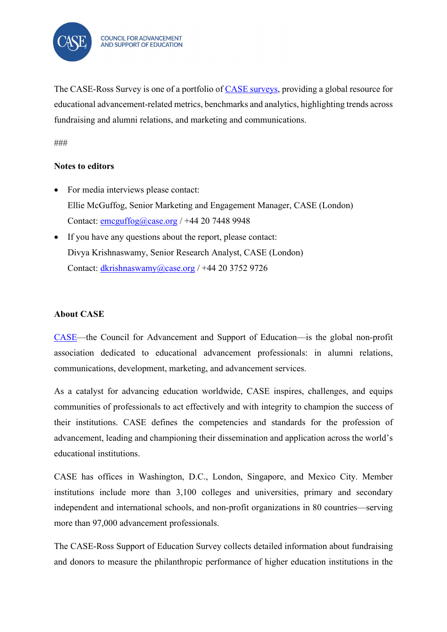

The CASE-Ross Survey is one of a portfolio of [CASE surveys,](https://www.case.org/resources/amatlas) providing a global resource for educational advancement-related metrics, benchmarks and analytics, highlighting trends across fundraising and alumni relations, and marketing and communications.

###

## **Notes to editors**

- For media interviews please contact: Ellie McGuffog, Senior Marketing and Engagement Manager, CASE (London) Contact: [emcguffog@case.org](mailto:emcguffog@case.org) / +44 20 7448 9948
- If you have any questions about the report, please contact: Divya Krishnaswamy, Senior Research Analyst, CASE (London) Contact: [dkrishnaswamy@case.org](mailto:dkrishnaswamy@case.org) / +44 20 3752 9726

## **About CASE**

[CASE—](https://www.case.org/)the Council for Advancement and Support of Education—is the global non-profit association dedicated to educational advancement professionals: in alumni relations, communications, development, marketing, and advancement services.

As a catalyst for advancing education worldwide, CASE inspires, challenges, and equips communities of professionals to act effectively and with integrity to champion the success of their institutions. CASE defines the competencies and standards for the profession of advancement, leading and championing their dissemination and application across the world's educational institutions.

CASE has offices in Washington, D.C., London, Singapore, and Mexico City. Member institutions include more than 3,100 colleges and universities, primary and secondary independent and international schools, and non-profit organizations in 80 countries—serving more than 97,000 advancement professionals.

The CASE-Ross Support of Education Survey collects detailed information about fundraising and donors to measure the philanthropic performance of higher education institutions in the